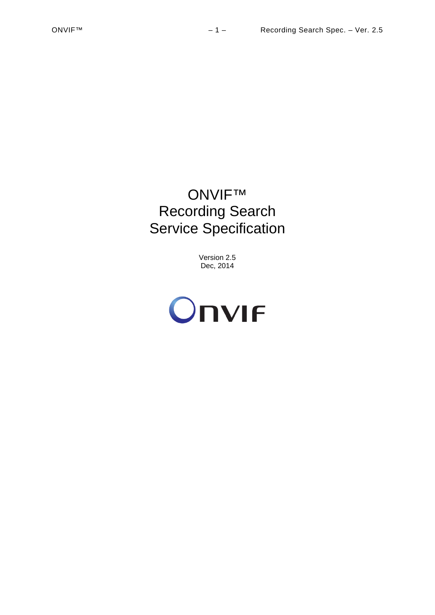# ONVIF™ Recording Search Service Specification

Version 2.5 Dec, 2014

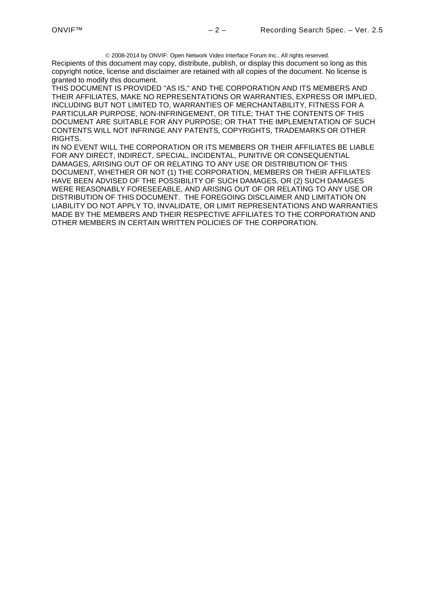2008-2014 by ONVIF: Open Network Video Interface Forum Inc.. All rights reserved. Recipients of this document may copy, distribute, publish, or display this document so long as this copyright notice, license and disclaimer are retained with all copies of the document. No license is granted to modify this document.

THIS DOCUMENT IS PROVIDED "AS IS," AND THE CORPORATION AND ITS MEMBERS AND THEIR AFFILIATES, MAKE NO REPRESENTATIONS OR WARRANTIES, EXPRESS OR IMPLIED, INCLUDING BUT NOT LIMITED TO, WARRANTIES OF MERCHANTABILITY, FITNESS FOR A PARTICULAR PURPOSE, NON-INFRINGEMENT, OR TITLE; THAT THE CONTENTS OF THIS DOCUMENT ARE SUITABLE FOR ANY PURPOSE; OR THAT THE IMPLEMENTATION OF SUCH CONTENTS WILL NOT INFRINGE ANY PATENTS, COPYRIGHTS, TRADEMARKS OR OTHER RIGHTS.

IN NO EVENT WILL THE CORPORATION OR ITS MEMBERS OR THEIR AFFILIATES BE LIABLE FOR ANY DIRECT, INDIRECT, SPECIAL, INCIDENTAL, PUNITIVE OR CONSEQUENTIAL DAMAGES, ARISING OUT OF OR RELATING TO ANY USE OR DISTRIBUTION OF THIS DOCUMENT, WHETHER OR NOT (1) THE CORPORATION, MEMBERS OR THEIR AFFILIATES HAVE BEEN ADVISED OF THE POSSIBILITY OF SUCH DAMAGES, OR (2) SUCH DAMAGES WERE REASONABLY FORESEEABLE, AND ARISING OUT OF OR RELATING TO ANY USE OR DISTRIBUTION OF THIS DOCUMENT. THE FOREGOING DISCLAIMER AND LIMITATION ON LIABILITY DO NOT APPLY TO, INVALIDATE, OR LIMIT REPRESENTATIONS AND WARRANTIES MADE BY THE MEMBERS AND THEIR RESPECTIVE AFFILIATES TO THE CORPORATION AND OTHER MEMBERS IN CERTAIN WRITTEN POLICIES OF THE CORPORATION.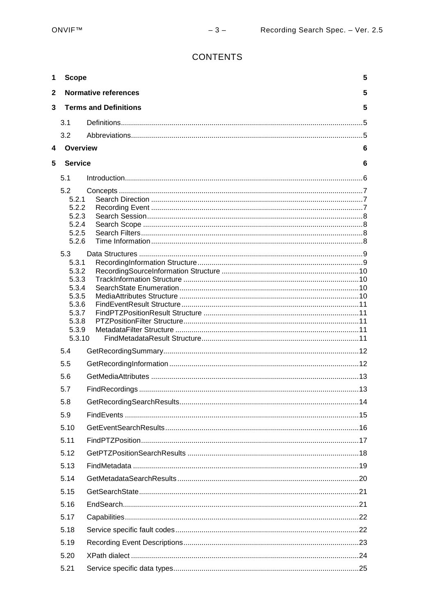## CONTENTS

| 1            | <b>Scope</b>                      |  | 5 |
|--------------|-----------------------------------|--|---|
| $\mathbf{2}$ | <b>Normative references</b><br>5  |  |   |
| 3            | <b>Terms and Definitions</b><br>5 |  |   |
|              | 3.1                               |  |   |
|              | 3.2                               |  |   |
| 4            | Overview                          |  | 6 |
| 5            | <b>Service</b>                    |  | 6 |
|              | 5.1                               |  |   |
|              | 5.2                               |  |   |
|              | 5.2.1                             |  |   |
|              | 5.2.2<br>5.2.3                    |  |   |
|              | 5.2.4                             |  |   |
|              | 5.2.5                             |  |   |
|              | 5.2.6                             |  |   |
|              | 5.3                               |  |   |
|              | 5.3.1<br>5.3.2                    |  |   |
|              | 5.3.3                             |  |   |
|              | 5.3.4                             |  |   |
|              | 5.3.5<br>5.3.6                    |  |   |
|              | 5.3.7                             |  |   |
|              | 5.3.8                             |  |   |
|              | 5.3.9<br>5.3.10                   |  |   |
|              | 5.4                               |  |   |
|              | 5.5                               |  |   |
|              | 5.6                               |  |   |
|              | 5.7                               |  |   |
|              | 5.8                               |  |   |
|              | 5.9                               |  |   |
|              | 5.10                              |  |   |
|              | 5.11                              |  |   |
|              | 5.12                              |  |   |
|              | 5.13                              |  |   |
|              | 5.14                              |  |   |
|              | 5.15                              |  |   |
|              | 5.16                              |  |   |
|              | 5.17                              |  |   |
|              | 5.18                              |  |   |
|              | 5.19                              |  |   |
|              | 5.20                              |  |   |
|              | 5.21                              |  |   |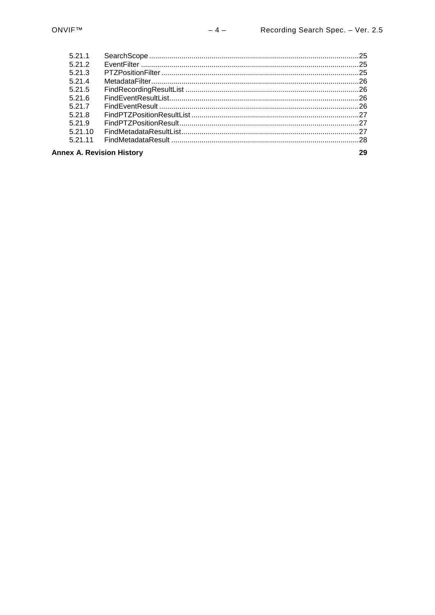| 5211                             |  |  |
|----------------------------------|--|--|
| 5212                             |  |  |
| 5213                             |  |  |
| 5.21.4                           |  |  |
| 5.21.5                           |  |  |
| 5216                             |  |  |
| 5 21 7                           |  |  |
| 5.21.8                           |  |  |
| 5219                             |  |  |
| 52110                            |  |  |
| 5 21 11                          |  |  |
| <b>Annex A. Revision History</b> |  |  |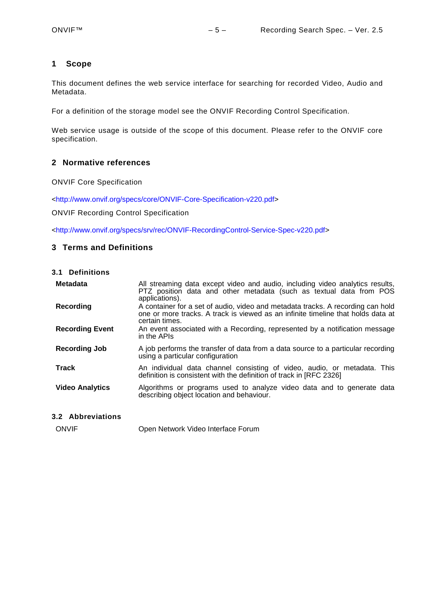## <span id="page-4-0"></span>**1 Scope**

This document defines the web service interface for searching for recorded Video, Audio and Metadata.

For a definition of the storage model see the ONVIF Recording Control Specification.

Web service usage is outside of the scope of this document. Please refer to the ONVIF core specification.

## <span id="page-4-1"></span>**2 Normative references**

ONVIF Core Specification

[<http://www.onvif.org/specs/core/ONVIF-Core-Specification-v220.pdf>](http://www.onvif.org/specs/core/ONVIF-Core-Specification-v211.pdf)

ONVIF Recording Control Specification

[<http://www.onvif.org/specs/srv/rec/ONVIF-RecordingControl-Service-Spec-v220.pdf>](http://www.onvif.org/specs/srv/rec/ONVIF-RecordingControl-Service-Spec-v211.pdf)

## <span id="page-4-2"></span>**3 Terms and Definitions**

<span id="page-4-3"></span>**3.1 Definitions**

| <b>Metadata</b>        | All streaming data except video and audio, including video analytics results,<br>PTZ position data and other metadata (such as textual data from POS<br>applications).                |
|------------------------|---------------------------------------------------------------------------------------------------------------------------------------------------------------------------------------|
| Recording              | A container for a set of audio, video and metadata tracks. A recording can hold<br>one or more tracks. A track is viewed as an infinite timeline that holds data at<br>certain times. |
| <b>Recording Event</b> | An event associated with a Recording, represented by a notification message<br>in the APIs                                                                                            |
| Recording Job          | A job performs the transfer of data from a data source to a particular recording<br>using a particular configuration                                                                  |
| <b>Track</b>           | An individual data channel consisting of video, audio, or metadata. This<br>definition is consistent with the definition of track in [RFC 2326]                                       |
| <b>Video Analytics</b> | Algorithms or programs used to analyze video data and to generate data<br>describing object location and behaviour.                                                                   |

## <span id="page-4-4"></span>**3.2 Abbreviations**

ONVIF Open Network Video Interface Forum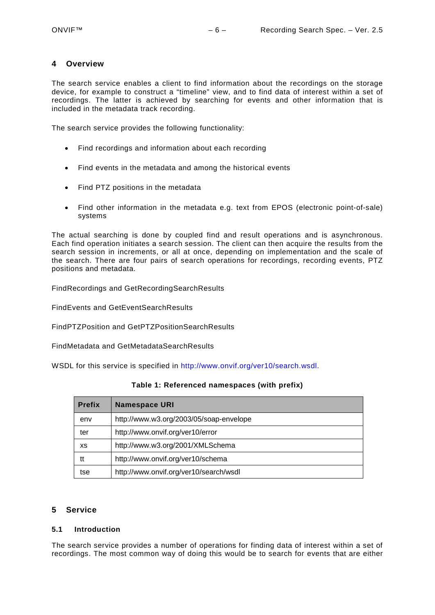## <span id="page-5-0"></span>**4 Overview**

The search service enables a client to find information about the recordings on the storage device, for example to construct a "timeline" view, and to find data of interest within a set of recordings. The latter is achieved by searching for events and other information that is included in the metadata track recording.

The search service provides the following functionality:

- Find recordings and information about each recording
- Find events in the metadata and among the historical events
- Find PTZ positions in the metadata
- Find other information in the metadata e.g. text from EPOS (electronic point-of-sale) systems

The actual searching is done by coupled find and result operations and is asynchronous. Each find operation initiates a search session. The client can then acquire the results from the search session in increments, or all at once, depending on implementation and the scale of the search. There are four pairs of search operations for recordings, recording events, PTZ positions and metadata.

FindRecordings and GetRecordingSearchResults

FindEvents and GetEventSearchResults

FindPTZPosition and GetPTZPositionSearchResults

FindMetadata and GetMetadataSearchResults

WSDL for this service is specified in [http://www.onvif.org/ver10/search.wsdl.](http://www.onvif.org/ver10/search.wsdl)

| <b>Prefix</b> | <b>Namespace URI</b>                    |
|---------------|-----------------------------------------|
| env           | http://www.w3.org/2003/05/soap-envelope |
| ter           | http://www.onvif.org/ver10/error        |
| хs            | http://www.w3.org/2001/XMLSchema        |
| tt            | http://www.onvif.org/ver10/schema       |
| tse           | http://www.onvif.org/ver10/search/wsdl  |

**Table 1: Referenced namespaces (with prefix)**

#### <span id="page-5-1"></span>**5 Service**

#### <span id="page-5-2"></span>**5.1 Introduction**

The search service provides a number of operations for finding data of interest within a set of recordings. The most common way of doing this would be to search for events that are either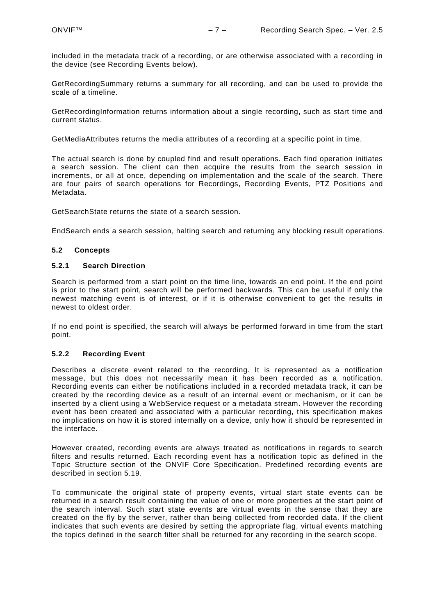included in the metadata track of a recording, or are otherwise associated with a recording in the device (see Recording Events below).

GetRecordingSummary returns a summary for all recording, and can be used to provide the scale of a timeline.

GetRecordingInformation returns information about a single recording, such as start time and current status.

GetMediaAttributes returns the media attributes of a recording at a specific point in time.

The actual search is done by coupled find and result operations. Each find operation initiates a search session. The client can then acquire the results from the search session in increments, or all at once, depending on implementation and the scale of the search. There are four pairs of search operations for Recordings, Recording Events, PTZ Positions and Metadata.

GetSearchState returns the state of a search session.

EndSearch ends a search session, halting search and returning any blocking result operations.

#### <span id="page-6-0"></span>**5.2 Concepts**

#### <span id="page-6-1"></span>**5.2.1 Search Direction**

Search is performed from a start point on the time line, towards an end point. If the end point is prior to the start point, search will be performed backwards. This can be useful if only the newest matching event is of interest, or if it is otherwise convenient to get the results in newest to oldest order.

If no end point is specified, the search will always be performed forward in time from the start point.

#### <span id="page-6-2"></span>**5.2.2 Recording Event**

Describes a discrete event related to the recording. It is represented as a notification message, but this does not necessarily mean it has been recorded as a notification. Recording events can either be notifications included in a recorded metadata track, it can be created by the recording device as a result of an internal event or mechanism, or it can be inserted by a client using a WebService request or a metadata stream. However the recording event has been created and associated with a particular recording, this specification makes no implications on how it is stored internally on a device, only how it should be represented in the interface.

However created, recording events are always treated as notifications in regards to search filters and results returned. Each recording event has a notification topic as defined in the Topic Structure section of the ONVIF Core Specification. Predefined recording events are described in section [5.19.](#page-22-0)

To communicate the original state of property events, virtual start state events can be returned in a search result containing the value of one or more properties at the start point of the search interval. Such start state events are virtual events in the sense that they are created on the fly by the server, rather than being collected from recorded data. If the client indicates that such events are desired by setting the appropriate flag, virtual events matching the topics defined in the search filter shall be returned for any recording in the search scope.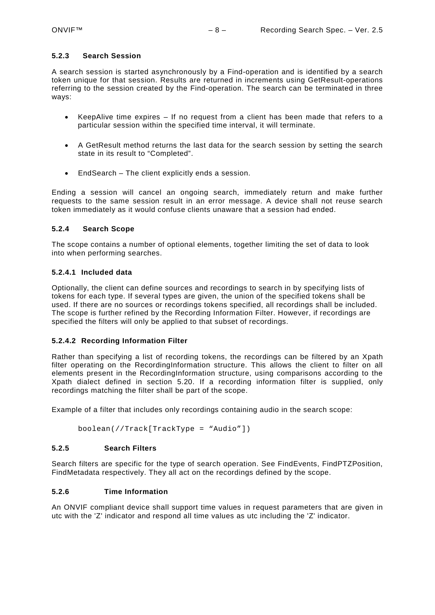### <span id="page-7-0"></span>**5.2.3 Search Session**

A search session is started asynchronously by a Find-operation and is identified by a search token unique for that session. Results are returned in increments using GetResult-operations referring to the session created by the Find-operation. The search can be terminated in three ways:

- KeepAlive time expires If no request from a client has been made that refers to a particular session within the specified time interval, it will terminate.
- A GetResult method returns the last data for the search session by setting the search state in its result to "Completed".
- EndSearch The client explicitly ends a session.

Ending a session will cancel an ongoing search, immediately return and make further requests to the same session result in an error message. A device shall not reuse search token immediately as it would confuse clients unaware that a session had ended.

#### <span id="page-7-1"></span>**5.2.4 Search Scope**

The scope contains a number of optional elements, together limiting the set of data to look into when performing searches.

#### **5.2.4.1 Included data**

Optionally, the client can define sources and recordings to search in by specifying lists of tokens for each type. If several types are given, the union of the specified tokens shall be used. If there are no sources or recordings tokens specified, all recordings shall be included. The scope is further refined by the Recording Information Filter. However, if recordings are specified the filters will only be applied to that subset of recordings.

#### **5.2.4.2 Recording Information Filter**

Rather than specifying a list of recording tokens, the recordings can be filtered by an Xpath filter operating on the RecordingInformation structure. This allows the client to filter on all elements present in the RecordingInformation structure, using comparisons according to the Xpath dialect defined in section [5.20.](#page-23-0) If a recording information filter is supplied, only recordings matching the filter shall be part of the scope.

Example of a filter that includes only recordings containing audio in the search scope:

```
boolean(//Track[TrackType = "Audio"])
```
#### **5.2.5 Search Filters**

Search filters are specific for the type of search operation. See FindEvents, FindPTZPosition, FindMetadata respectively. They all act on the recordings defined by the scope.

## <span id="page-7-3"></span>**5.2.6 Time Information**

An ONVIF compliant device shall support time values in request parameters that are given in utc with the 'Z' indicator and respond all time values as utc including the 'Z' indicator.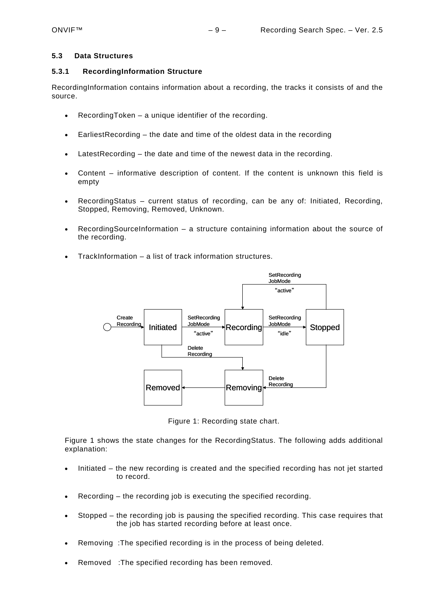#### <span id="page-8-0"></span>**5.3 Data Structures**

#### <span id="page-8-1"></span>**5.3.1 RecordingInformation Structure**

RecordingInformation contains information about a recording, the tracks it consists of and the source.

- RecordingToken a unique identifier of the recording.
- EarliestRecording the date and time of the oldest data in the recording
- LatestRecording the date and time of the newest data in the recording.
- Content informative description of content. If the content is unknown this field is empty
- RecordingStatus current status of recording, can be any of: Initiated, Recording, Stopped, Removing, Removed, Unknown.
- RecordingSourceInformation a structure containing information about the source of the recording.
- TrackInformation a list of track information structures.



Figure 1: Recording state chart.

Figure 1 shows the state changes for the RecordingStatus. The following adds additional explanation:

- Initiated the new recording is created and the specified recording has not jet started to record.
- Recording the recording job is executing the specified recording.
- Stopped the recording job is pausing the specified recording. This case requires that the job has started recording before at least once.
- Removing : The specified recording is in the process of being deleted.
- Removed :The specified recording has been removed.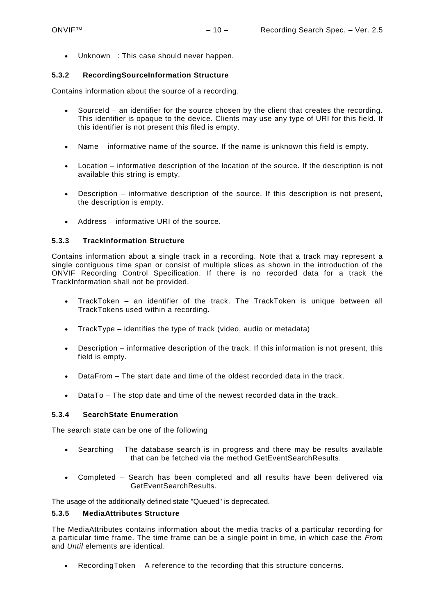• Unknown : This case should never happen.

## <span id="page-9-0"></span>**5.3.2 RecordingSourceInformation Structure**

Contains information about the source of a recording.

- SourceId an identifier for the source chosen by the client that creates the recording. This identifier is opaque to the device. Clients may use any type of URI for this field. If this identifier is not present this filed is empty.
- Name informative name of the source. If the name is unknown this field is empty.
- Location informative description of the location of the source. If the description is not available this string is empty.
- Description informative description of the source. If this description is not present, the description is empty.
- Address informative URI of the source.

## <span id="page-9-1"></span>**5.3.3 TrackInformation Structure**

Contains information about a single track in a recording. Note that a track may represent a single contiguous time span or consist of multiple slices as shown in the introduction of the ONVIF Recording Control Specification. If there is no recorded data for a track the TrackInformation shall not be provided.

- TrackToken an identifier of the track. The TrackToken is unique between all TrackTokens used within a recording.
- TrackType identifies the type of track (video, audio or metadata)
- Description informative description of the track. If this information is not present, this field is empty.
- DataFrom The start date and time of the oldest recorded data in the track.
- DataTo The stop date and time of the newest recorded data in the track.

## <span id="page-9-2"></span>**5.3.4 SearchState Enumeration**

The search state can be one of the following

- Searching The database search is in progress and there may be results available that can be fetched via the method GetEventSearchResults.
- Completed Search has been completed and all results have been delivered via GetEventSearchResults.

The usage of the additionally defined state "Queued" is deprecated.

## <span id="page-9-3"></span>**5.3.5 MediaAttributes Structure**

The MediaAttributes contains information about the media tracks of a particular recording for a particular time frame. The time frame can be a single point in time, in which case the *From* and *Until* elements are identical.

• RecordingToken – A reference to the recording that this structure concerns.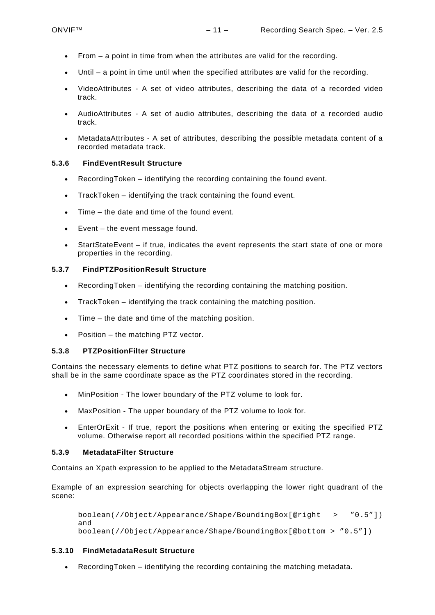- From a point in time from when the attributes are valid for the recording.
- Until a point in time until when the specified attributes are valid for the recording.
- VideoAttributes A set of video attributes, describing the data of a recorded video track.
- AudioAttributes A set of audio attributes, describing the data of a recorded audio track.
- MetadataAttributes A set of attributes, describing the possible metadata content of a recorded metadata track.

## <span id="page-10-0"></span>**5.3.6 FindEventResult Structure**

- RecordingToken identifying the recording containing the found event.
- TrackToken identifying the track containing the found event.
- Time the date and time of the found event.
- Event the event message found.
- StartStateEvent if true, indicates the event represents the start state of one or more properties in the recording.

## <span id="page-10-1"></span>**5.3.7 FindPTZPositionResult Structure**

- RecordingToken identifying the recording containing the matching position.
- TrackToken identifying the track containing the matching position.
- Time the date and time of the matching position.
- Position the matching PTZ vector.

## <span id="page-10-2"></span>**5.3.8 PTZPositionFilter Structure**

Contains the necessary elements to define what PTZ positions to search for. The PTZ vectors shall be in the same coordinate space as the PTZ coordinates stored in the recording.

- MinPosition The lower boundary of the PTZ volume to look for.
- MaxPosition The upper boundary of the PTZ volume to look for.
- EnterOrExit If true, report the positions when entering or exiting the specified PTZ volume. Otherwise report all recorded positions within the specified PTZ range.

## <span id="page-10-3"></span>**5.3.9 MetadataFilter Structure**

Contains an Xpath expression to be applied to the MetadataStream structure.

Example of an expression searching for objects overlapping the lower right quadrant of the scene:

```
boolean(//Object/Appearance/Shape/BoundingBox[@right > "0.5"]) 
and 
boolean(//Object/Appearance/Shape/BoundingBox[@bottom > "0.5"])
```
## <span id="page-10-4"></span>**5.3.10 FindMetadataResult Structure**

• RecordingToken – identifying the recording containing the matching metadata.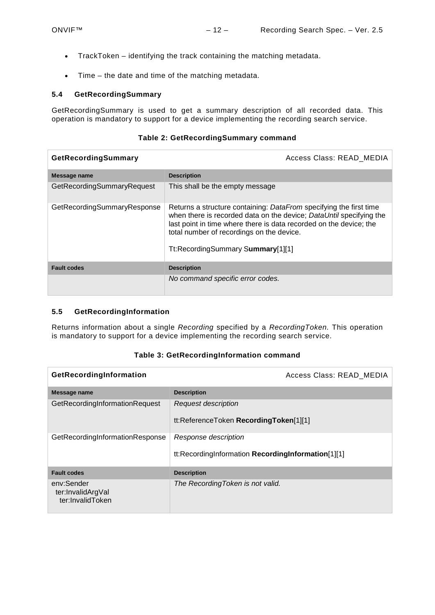- TrackToken identifying the track containing the matching metadata.
- Time the date and time of the matching metadata.

#### <span id="page-11-0"></span>**5.4 GetRecordingSummary**

GetRecordingSummary is used to get a summary description of all recorded data. This operation is mandatory to support for a device implementing the recording search service.

## **Table 2: GetRecordingSummary command**

| GetRecordingSummary         | Access Class: READ MEDIA                                                                                                                                                                                                                                                                          |
|-----------------------------|---------------------------------------------------------------------------------------------------------------------------------------------------------------------------------------------------------------------------------------------------------------------------------------------------|
| Message name                | <b>Description</b>                                                                                                                                                                                                                                                                                |
| GetRecordingSummaryRequest  | This shall be the empty message                                                                                                                                                                                                                                                                   |
| GetRecordingSummaryResponse | Returns a structure containing: DataFrom specifying the first time<br>when there is recorded data on the device; DataUntil specifying the<br>last point in time where there is data recorded on the device; the<br>total number of recordings on the device.<br>Tt:RecordingSummary Summary[1][1] |
| <b>Fault codes</b>          | <b>Description</b>                                                                                                                                                                                                                                                                                |
|                             | No command specific error codes.                                                                                                                                                                                                                                                                  |

## <span id="page-11-1"></span>**5.5 GetRecordingInformation**

Returns information about a single *Recording* specified by a *RecordingToken.* This operation is mandatory to support for a device implementing the recording search service.

<span id="page-11-2"></span>

| GetRecordingInformation                             | Access Class: READ MEDIA                                                   |
|-----------------------------------------------------|----------------------------------------------------------------------------|
| Message name                                        | <b>Description</b>                                                         |
| GetRecordingInformationRequest                      | <b>Request description</b><br>tt:ReferenceToken RecordingToken[1][1]       |
| GetRecordingInformationResponse                     | Response description<br>tt:RecordingInformation RecordingInformation[1][1] |
| <b>Fault codes</b>                                  | <b>Description</b>                                                         |
| env:Sender<br>ter:InvalidArgVal<br>ter:InvalidToken | The RecordingToken is not valid.                                           |

#### **Table 3: GetRecordingInformation command**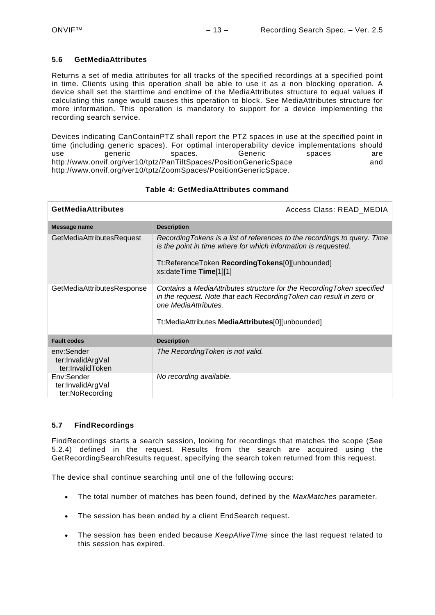### **5.6 GetMediaAttributes**

Returns a set of media attributes for all tracks of the specified recordings at a specified point in time. Clients using this operation shall be able to use it as a non blocking operation. A device shall set the starttime and endtime of the MediaAttributes structure to equal values if calculating this range would causes this operation to block. See MediaAttributes structure for more information. This operation is mandatory to support for a device implementing the recording search service.

Devices indicating CanContainPTZ shall report the PTZ spaces in use at the specified point in time (including generic spaces). For optimal interoperability device implementations should use generic spaces. Generic spaces are http://www.onvif.org/ver10/tptz/PanTiltSpaces/PositionGenericSpace and http://www.onvif.org/ver10/tptz/ZoomSpaces/PositionGenericSpace.

| <b>GetMediaAttributes</b>                           | Access Class: READ MEDIA                                                                                                                                                                                                   |
|-----------------------------------------------------|----------------------------------------------------------------------------------------------------------------------------------------------------------------------------------------------------------------------------|
| Message name                                        | <b>Description</b>                                                                                                                                                                                                         |
| GetMediaAttributesRequest                           | Recording Tokens is a list of references to the recordings to query. Time<br>is the point in time where for which information is requested.<br>Tt:ReferenceToken RecordingTokens[0][unbounded]<br>xs:dateTime Time[1][1]   |
| GetMediaAttributesResponse                          | Contains a MediaAttributes structure for the Recording Token specified<br>in the request. Note that each Recording Token can result in zero or<br>one MediaAttributes.<br>Tt:MediaAttributes MediaAttributes[0][unbounded] |
| <b>Fault codes</b>                                  | <b>Description</b>                                                                                                                                                                                                         |
| env:Sender<br>ter:InvalidArgVal<br>ter:InvalidToken | The Recording Token is not valid.                                                                                                                                                                                          |
| Env:Sender<br>ter:InvalidArgVal<br>ter:NoRecording  | No recording available.                                                                                                                                                                                                    |

#### **Table 4: GetMediaAttributes command**

## <span id="page-12-0"></span>**5.7 FindRecordings**

FindRecordings starts a search session, looking for recordings that matches the scope (See [5.2.4\)](#page-7-1) defined in the request. Results from the search are acquired using the GetRecordingSearchResults request, specifying the search token returned from this request.

The device shall continue searching until one of the following occurs:

- The total number of matches has been found, defined by the *MaxMatches* parameter.
- The session has been ended by a client EndSearch request.
- The session has been ended because *KeepAliveTime* since the last request related to this session has expired.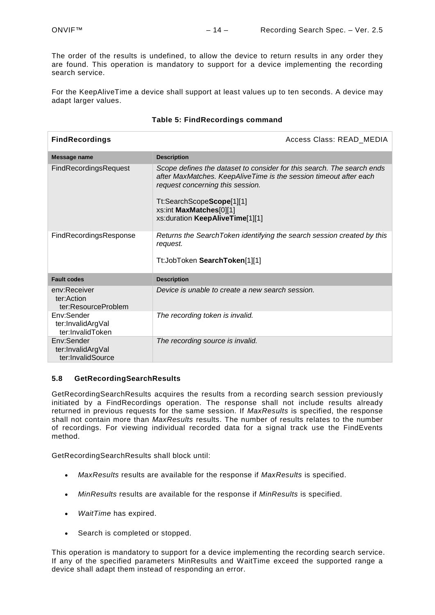The order of the results is undefined, to allow the device to return results in any order they are found. This operation is mandatory to support for a device implementing the recording search service.

For the KeepAliveTime a device shall support at least values up to ten seconds. A device may adapt larger values.

| <b>FindRecordings</b>                                | Access Class: READ_MEDIA                                                                                                                                                                                                                                                   |
|------------------------------------------------------|----------------------------------------------------------------------------------------------------------------------------------------------------------------------------------------------------------------------------------------------------------------------------|
| Message name                                         | <b>Description</b>                                                                                                                                                                                                                                                         |
| <b>FindRecordingsRequest</b>                         | Scope defines the dataset to consider for this search. The search ends<br>after MaxMatches. KeepAliveTime is the session timeout after each<br>request concerning this session.<br>Tt:SearchScopeScope[1][1]<br>xs:int MaxMatches[0][1]<br>xs:duration KeepAliveTime[1][1] |
| FindRecordingsResponse                               | Returns the SearchToken identifying the search session created by this<br>request.<br>Tt: JobToken Search Token[1][1]                                                                                                                                                      |
| <b>Fault codes</b>                                   | <b>Description</b>                                                                                                                                                                                                                                                         |
| env:Receiver<br>ter:Action<br>ter:ResourceProblem    | Device is unable to create a new search session.                                                                                                                                                                                                                           |
| Env:Sender<br>ter:InvalidArgVal<br>ter:InvalidToken  | The recording token is invalid.                                                                                                                                                                                                                                            |
| Env:Sender<br>ter:InvalidArgVal<br>ter:InvalidSource | The recording source is invalid.                                                                                                                                                                                                                                           |

## **Table 5: FindRecordings command**

## <span id="page-13-0"></span>**5.8 GetRecordingSearchResults**

GetRecordingSearchResults acquires the results from a recording search session previously initiated by a FindRecordings operation. The response shall not include results already returned in previous requests for the same session. If *MaxResults* is specified, the response shall not contain more than *MaxResults* results. The number of results relates to the number of recordings. For viewing individual recorded data for a signal track use the FindEvents method.

GetRecordingSearchResults shall block until:

- *MaxResults* results are available for the response if *MaxResults* is specified.
- *MinResults* results are available for the response if *MinResults* is specified.
- *WaitTime* has expired.
- Search is completed or stopped.

This operation is mandatory to support for a device implementing the recording search service. If any of the specified parameters MinResults and WaitTime exceed the supported range a device shall adapt them instead of responding an error.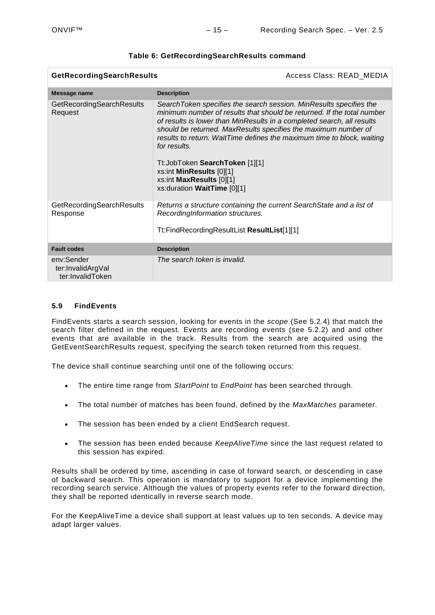| GetRecordingSearchResults<br>Access Class: READ_MEDIA |                                                                                                                                                                                                                                                                                                                                                                                                                                                                                                             |  |
|-------------------------------------------------------|-------------------------------------------------------------------------------------------------------------------------------------------------------------------------------------------------------------------------------------------------------------------------------------------------------------------------------------------------------------------------------------------------------------------------------------------------------------------------------------------------------------|--|
| Message name                                          | <b>Description</b>                                                                                                                                                                                                                                                                                                                                                                                                                                                                                          |  |
| GetRecordingSearchResults<br>Request                  | SearchToken specifies the search session. MinResults specifies the<br>minimum number of results that should be returned. If the total number<br>of results is lower than MinResults in a completed search, all results<br>should be returned. MaxResults specifies the maximum number of<br>results to return. WaitTime defines the maximum time to block, waiting<br>for results.<br>Tt:JobToken SearchToken [1][1]<br>xs:int MinResults [0][1]<br>xs:int MaxResults [0][1]<br>xs:duration WaitTime [0][1] |  |
| GetRecordingSearchResults<br>Response                 | Returns a structure containing the current Search State and a list of<br>RecordingInformation structures.<br>Tt:FindRecordingResultList ResultList[1][1]                                                                                                                                                                                                                                                                                                                                                    |  |
| <b>Fault codes</b>                                    | <b>Description</b>                                                                                                                                                                                                                                                                                                                                                                                                                                                                                          |  |
| env:Sender<br>ter:InvalidArgVal<br>ter:InvalidToken   | The search token is invalid.                                                                                                                                                                                                                                                                                                                                                                                                                                                                                |  |

## **Table 6: GetRecordingSearchResults command**

## <span id="page-14-0"></span>**5.9 FindEvents**

FindEvents starts a search session, looking for events in the *scope* (See [5.2.4\)](#page-7-1) that match the search filter defined in the request. Events are recording events (see [5.2.2\)](#page-6-2) and and other events that are available in the track. Results from the search are acquired using the GetEventSearchResults request, specifying the search token returned from this request.

The device shall continue searching until one of the following occurs:

- The entire time range from *StartPoint* to *EndPoint* has been searched through.
- The total number of matches has been found, defined by the *MaxMatches* parameter.
- The session has been ended by a client EndSearch request.
- The session has been ended because *KeepAliveTime* since the last request related to this session has expired.

Results shall be ordered by time, ascending in case of forward search, or descending in case of backward search. This operation is mandatory to support for a device implementing the recording search service. Although the values of property events refer to the forward direction, they shall be reported identically in reverse search mode.

For the KeepAliveTime a device shall support at least values up to ten seconds. A device may adapt larger values.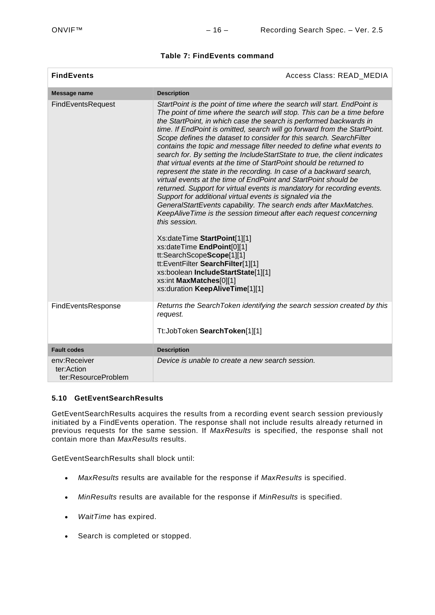## **Table 7: FindEvents command**

| <b>FindEvents</b>                                 | Access Class: READ_MEDIA                                                                                                                                                                                                                                                                                                                                                                                                                                                                                                                                                                                                                                                                                                                                                                                                                                                                                                                                                                                                                                                                                                                                                                                                                                                                     |
|---------------------------------------------------|----------------------------------------------------------------------------------------------------------------------------------------------------------------------------------------------------------------------------------------------------------------------------------------------------------------------------------------------------------------------------------------------------------------------------------------------------------------------------------------------------------------------------------------------------------------------------------------------------------------------------------------------------------------------------------------------------------------------------------------------------------------------------------------------------------------------------------------------------------------------------------------------------------------------------------------------------------------------------------------------------------------------------------------------------------------------------------------------------------------------------------------------------------------------------------------------------------------------------------------------------------------------------------------------|
| Message name                                      | <b>Description</b>                                                                                                                                                                                                                                                                                                                                                                                                                                                                                                                                                                                                                                                                                                                                                                                                                                                                                                                                                                                                                                                                                                                                                                                                                                                                           |
| FindEventsRequest                                 | StartPoint is the point of time where the search will start. EndPoint is<br>The point of time where the search will stop. This can be a time before<br>the StartPoint, in which case the search is performed backwards in<br>time. If EndPoint is omitted, search will go forward from the StartPoint.<br>Scope defines the dataset to consider for this search. SearchFilter<br>contains the topic and message filter needed to define what events to<br>search for. By setting the IncludeStartState to true, the client indicates<br>that virtual events at the time of StartPoint should be returned to<br>represent the state in the recording. In case of a backward search,<br>virtual events at the time of EndPoint and StartPoint should be<br>returned. Support for virtual events is mandatory for recording events.<br>Support for additional virtual events is signaled via the<br>GeneralStartEvents capability. The search ends after MaxMatches.<br>KeepAliveTime is the session timeout after each request concerning<br>this session.<br>Xs:dateTime StartPoint[1][1]<br>xs:dateTime EndPoint[0][1]<br>tt:SearchScopeScope[1][1]<br>tt:EventFilter SearchFilter[1][1]<br>xs:boolean IncludeStartState[1][1]<br>xs:int MaxMatches[0][1]<br>xs:duration KeepAliveTime[1][1] |
| FindEventsResponse                                | Returns the SearchToken identifying the search session created by this<br>request.<br>Tt:JobToken SearchToken[1][1]                                                                                                                                                                                                                                                                                                                                                                                                                                                                                                                                                                                                                                                                                                                                                                                                                                                                                                                                                                                                                                                                                                                                                                          |
| <b>Fault codes</b>                                | <b>Description</b>                                                                                                                                                                                                                                                                                                                                                                                                                                                                                                                                                                                                                                                                                                                                                                                                                                                                                                                                                                                                                                                                                                                                                                                                                                                                           |
| env:Receiver<br>ter:Action<br>ter:ResourceProblem | Device is unable to create a new search session.                                                                                                                                                                                                                                                                                                                                                                                                                                                                                                                                                                                                                                                                                                                                                                                                                                                                                                                                                                                                                                                                                                                                                                                                                                             |

#### <span id="page-15-0"></span>**5.10 GetEventSearchResults**

GetEventSearchResults acquires the results from a recording event search session previously initiated by a FindEvents operation. The response shall not include results already returned in previous requests for the same session. If *MaxResults* is specified, the response shall not contain more than *MaxResults* results.

GetEventSearchResults shall block until:

- *MaxResults* results are available for the response if *MaxResults* is specified.
- *MinResults* results are available for the response if *MinResults* is specified.
- *WaitTime* has expired.
- Search is completed or stopped.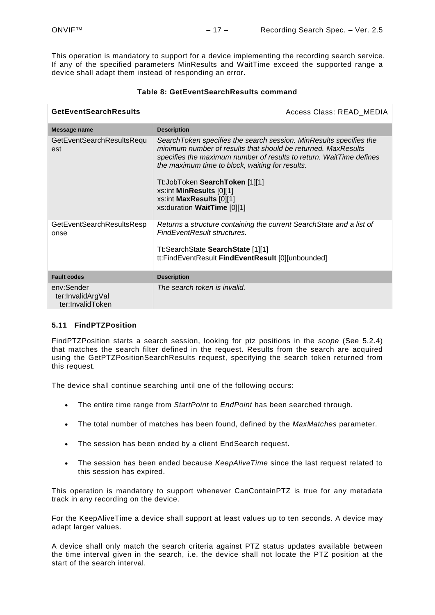This operation is mandatory to support for a device implementing the recording search service. If any of the specified parameters MinResults and WaitTime exceed the supported range a device shall adapt them instead of responding an error.

| <b>GetEventSearchResults</b>                        | Access Class: READ_MEDIA                                                                                                                                                                                                                                                                                                                                                               |
|-----------------------------------------------------|----------------------------------------------------------------------------------------------------------------------------------------------------------------------------------------------------------------------------------------------------------------------------------------------------------------------------------------------------------------------------------------|
| Message name                                        | <b>Description</b>                                                                                                                                                                                                                                                                                                                                                                     |
| GetEventSearchResultsRequ<br>est                    | SearchToken specifies the search session. MinResults specifies the<br>minimum number of results that should be returned. MaxResults<br>specifies the maximum number of results to return. WaitTime defines<br>the maximum time to block, waiting for results.<br>Tt:JobToken SearchToken [1][1]<br>xs:int MinResults [0][1]<br>xs:int MaxResults [0][1]<br>xs:duration WaitTime [0][1] |
| GetEventSearchResultsResp<br>onse                   | Returns a structure containing the current Search State and a list of<br>FindEventResult structures.<br>Tt:SearchState SearchState [1][1]<br>tt:FindEventResult FindEventResult [0][unbounded]                                                                                                                                                                                         |
| <b>Fault codes</b>                                  | <b>Description</b>                                                                                                                                                                                                                                                                                                                                                                     |
| env:Sender<br>ter:InvalidArgVal<br>ter:InvalidToken | The search token is invalid.                                                                                                                                                                                                                                                                                                                                                           |

## **Table 8: GetEventSearchResults command**

## <span id="page-16-0"></span>**5.11 FindPTZPosition**

FindPTZPosition starts a search session, looking for ptz positions in the *scope* (See [5.2.4\)](#page-7-1) that matches the search filter defined in the request. Results from the search are acquired using the GetPTZPositionSearchResults request, specifying the search token returned from this request.

The device shall continue searching until one of the following occurs:

- The entire time range from *StartPoint* to *EndPoint* has been searched through.
- The total number of matches has been found, defined by the *MaxMatches* parameter.
- The session has been ended by a client EndSearch request.
- The session has been ended because *KeepAliveTime* since the last request related to this session has expired.

This operation is mandatory to support whenever CanContainPTZ is true for any metadata track in any recording on the device.

For the KeepAliveTime a device shall support at least values up to ten seconds. A device may adapt larger values.

A device shall only match the search criteria against PTZ status updates available between the time interval given in the search, i.e. the device shall not locate the PTZ position at the start of the search interval.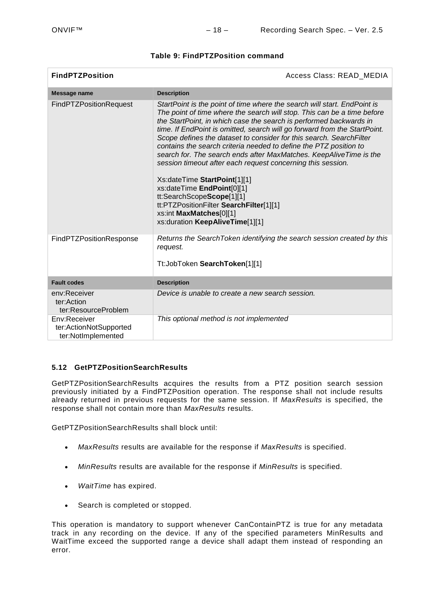| <b>FindPTZPosition</b>                                       | Access Class: READ MEDIA                                                                                                                                                                                                                                                                                                                                                                                                                                                                                                                                                                                                                                                                                                                                                                    |
|--------------------------------------------------------------|---------------------------------------------------------------------------------------------------------------------------------------------------------------------------------------------------------------------------------------------------------------------------------------------------------------------------------------------------------------------------------------------------------------------------------------------------------------------------------------------------------------------------------------------------------------------------------------------------------------------------------------------------------------------------------------------------------------------------------------------------------------------------------------------|
| Message name                                                 | <b>Description</b>                                                                                                                                                                                                                                                                                                                                                                                                                                                                                                                                                                                                                                                                                                                                                                          |
| <b>FindPTZPositionRequest</b>                                | StartPoint is the point of time where the search will start. EndPoint is<br>The point of time where the search will stop. This can be a time before<br>the StartPoint, in which case the search is performed backwards in<br>time. If EndPoint is omitted, search will go forward from the StartPoint.<br>Scope defines the dataset to consider for this search. SearchFilter<br>contains the search criteria needed to define the PTZ position to<br>search for. The search ends after MaxMatches. KeepAliveTime is the<br>session timeout after each request concerning this session.<br>Xs:dateTime StartPoint[1][1]<br>xs:dateTime EndPoint[0][1]<br>tt:SearchScopeScope[1][1]<br>tt:PTZPositionFilter SearchFilter[1][1]<br>xs:int MaxMatches[0][1]<br>xs:duration KeepAliveTime[1][1] |
| FindPTZPositionResponse                                      | Returns the SearchToken identifying the search session created by this<br>request.<br>Tt:JobToken SearchToken[1][1]                                                                                                                                                                                                                                                                                                                                                                                                                                                                                                                                                                                                                                                                         |
| <b>Fault codes</b>                                           | <b>Description</b>                                                                                                                                                                                                                                                                                                                                                                                                                                                                                                                                                                                                                                                                                                                                                                          |
| env:Receiver<br>ter:Action<br>ter:ResourceProblem            | Device is unable to create a new search session.                                                                                                                                                                                                                                                                                                                                                                                                                                                                                                                                                                                                                                                                                                                                            |
| Env:Receiver<br>ter:ActionNotSupported<br>ter:NotImplemented | This optional method is not implemented                                                                                                                                                                                                                                                                                                                                                                                                                                                                                                                                                                                                                                                                                                                                                     |

## **Table 9: FindPTZPosition command**

## <span id="page-17-0"></span>**5.12 GetPTZPositionSearchResults**

GetPTZPositionSearchResults acquires the results from a PTZ position search session previously initiated by a FindPTZPosition operation. The response shall not include results already returned in previous requests for the same session. If *MaxResults* is specified, the response shall not contain more than *MaxResults* results.

GetPTZPositionSearchResults shall block until:

- *MaxResults* results are available for the response if *MaxResults* is specified.
- *MinResults* results are available for the response if *MinResults* is specified.
- *WaitTime* has expired.
- Search is completed or stopped.

This operation is mandatory to support whenever CanContainPTZ is true for any metadata track in any recording on the device. If any of the specified parameters MinResults and WaitTime exceed the supported range a device shall adapt them instead of responding an error.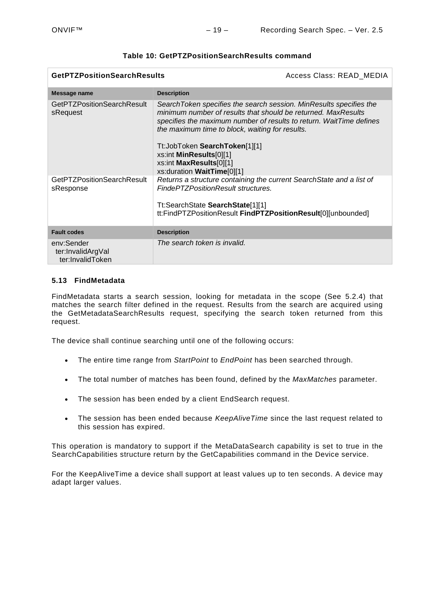| <b>GetPTZPositionSearchResults</b>                  |                                                                                                                                                                                                                                                               | Access Class: READ_MEDIA |
|-----------------------------------------------------|---------------------------------------------------------------------------------------------------------------------------------------------------------------------------------------------------------------------------------------------------------------|--------------------------|
| Message name                                        | <b>Description</b>                                                                                                                                                                                                                                            |                          |
| <b>GetPTZPositionSearchResult</b><br>sRequest       | SearchToken specifies the search session. MinResults specifies the<br>minimum number of results that should be returned. MaxResults<br>specifies the maximum number of results to return. WaitTime defines<br>the maximum time to block, waiting for results. |                          |
|                                                     | Tt: JobToken SearchToken[1][1]<br>xs:int MinResults[0][1]<br>xs:int MaxResults[0][1]<br>xs:duration WaitTime[0][1]                                                                                                                                            |                          |
| <b>GetPTZPositionSearchResult</b><br>sResponse      | Returns a structure containing the current Search State and a list of<br>FindePTZPositionResult structures.                                                                                                                                                   |                          |
|                                                     | Tt:SearchState SearchState[1][1]<br>tt:FindPTZPositionResult FindPTZPositionResult[0][unbounded]                                                                                                                                                              |                          |
| <b>Fault codes</b>                                  | <b>Description</b>                                                                                                                                                                                                                                            |                          |
| env:Sender<br>ter:InvalidArgVal<br>ter:InvalidToken | The search token is invalid.                                                                                                                                                                                                                                  |                          |

## **Table 10: GetPTZPositionSearchResults command**

## <span id="page-18-0"></span>**5.13 FindMetadata**

FindMetadata starts a search session, looking for metadata in the scope (See [5.2.4\)](#page-7-1) that matches the search filter defined in the request. Results from the search are acquired using the GetMetadataSearchResults request, specifying the search token returned from this request.

The device shall continue searching until one of the following occurs:

- The entire time range from *StartPoint* to *EndPoint* has been searched through.
- The total number of matches has been found, defined by the *MaxMatches* parameter.
- The session has been ended by a client EndSearch request.
- The session has been ended because *KeepAliveTime* since the last request related to this session has expired.

This operation is mandatory to support if the MetaDataSearch capability is set to true in the SearchCapabilities structure return by the GetCapabilities command in the Device service.

For the KeepAliveTime a device shall support at least values up to ten seconds. A device may adapt larger values.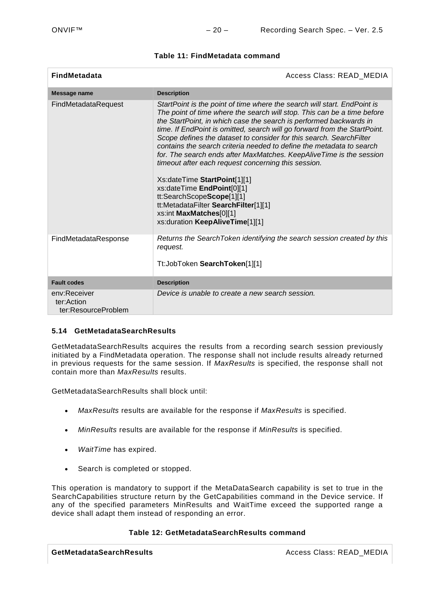| <b>FindMetadata</b>                               | Access Class: READ_MEDIA                                                                                                                                                                                                                                                                                                                                                                                                                                                                                                                                                                                                                                                                                                                                                             |  |
|---------------------------------------------------|--------------------------------------------------------------------------------------------------------------------------------------------------------------------------------------------------------------------------------------------------------------------------------------------------------------------------------------------------------------------------------------------------------------------------------------------------------------------------------------------------------------------------------------------------------------------------------------------------------------------------------------------------------------------------------------------------------------------------------------------------------------------------------------|--|
| Message name                                      | <b>Description</b>                                                                                                                                                                                                                                                                                                                                                                                                                                                                                                                                                                                                                                                                                                                                                                   |  |
| FindMetadataRequest                               | StartPoint is the point of time where the search will start. EndPoint is<br>The point of time where the search will stop. This can be a time before<br>the StartPoint, in which case the search is performed backwards in<br>time. If EndPoint is omitted, search will go forward from the StartPoint.<br>Scope defines the dataset to consider for this search. SearchFilter<br>contains the search criteria needed to define the metadata to search<br>for. The search ends after MaxMatches. KeepAliveTime is the session<br>timeout after each request concerning this session.<br>Xs:dateTime StartPoint[1][1]<br>xs:dateTime EndPoint[0][1]<br>tt:SearchScopeScope[1][1]<br>tt:MetadataFilter SearchFilter[1][1]<br>xs:int MaxMatches[0][1]<br>xs:duration KeepAliveTime[1][1] |  |
| FindMetadataResponse                              | Returns the SearchToken identifying the search session created by this<br>request.<br>Tt:JobToken SearchToken[1][1]                                                                                                                                                                                                                                                                                                                                                                                                                                                                                                                                                                                                                                                                  |  |
| <b>Fault codes</b>                                | <b>Description</b>                                                                                                                                                                                                                                                                                                                                                                                                                                                                                                                                                                                                                                                                                                                                                                   |  |
| env:Receiver<br>ter:Action<br>ter:ResourceProblem | Device is unable to create a new search session.                                                                                                                                                                                                                                                                                                                                                                                                                                                                                                                                                                                                                                                                                                                                     |  |

## **Table 11: FindMetadata command**

## <span id="page-19-0"></span>**5.14 GetMetadataSearchResults**

GetMetadataSearchResults acquires the results from a recording search session previously initiated by a FindMetadata operation. The response shall not include results already returned in previous requests for the same session. If *MaxResults* is specified, the response shall not contain more than *MaxResults* results.

GetMetadataSearchResults shall block until:

- *MaxResults* results are available for the response if *MaxResults* is specified.
- *MinResults* results are available for the response if *MinResults* is specified.
- *WaitTime* has expired.
- Search is completed or stopped.

This operation is mandatory to support if the MetaDataSearch capability is set to true in the SearchCapabilities structure return by the GetCapabilities command in the Device service. If any of the specified parameters MinResults and WaitTime exceed the supported range a device shall adapt them instead of responding an error.

## **Table 12: GetMetadataSearchResults command**

**GetMetadataSearchResults** and the controller and the controller and access Class: READ\_MEDIA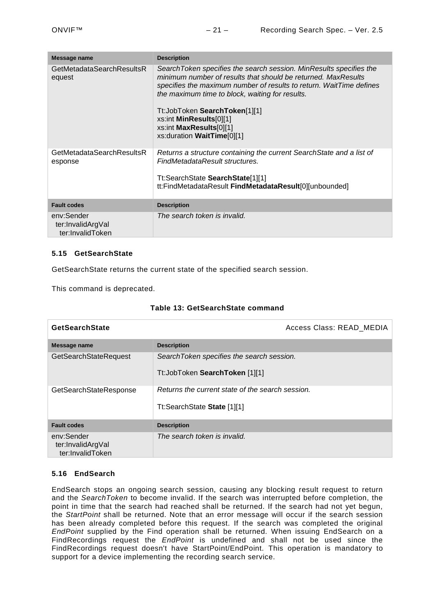| Message name                                        | <b>Description</b>                                                                                                                                                                                                                                                                                                                                                                   |
|-----------------------------------------------------|--------------------------------------------------------------------------------------------------------------------------------------------------------------------------------------------------------------------------------------------------------------------------------------------------------------------------------------------------------------------------------------|
| GetMetadataSearchResultsR<br>equest                 | Search Token specifies the search session. Min Results specifies the<br>minimum number of results that should be returned. MaxResults<br>specifies the maximum number of results to return. WaitTime defines<br>the maximum time to block, waiting for results.<br>Tt:JobToken SearchToken[1][1]<br>xs:int MinResults[0][1]<br>xs:int MaxResults[0][1]<br>xs:duration WaitTime[0][1] |
| GetMetadataSearchResultsR<br>esponse                | Returns a structure containing the current Search State and a list of<br>FindMetadataResult structures.<br>Tt:SearchState SearchState[1][1]<br>tt:FindMetadataResult FindMetadataResult[0][unbounded]                                                                                                                                                                                |
| <b>Fault codes</b>                                  | <b>Description</b>                                                                                                                                                                                                                                                                                                                                                                   |
| env:Sender<br>ter:InvalidArgVal<br>ter:InvalidToken | The search token is invalid.                                                                                                                                                                                                                                                                                                                                                         |

## <span id="page-20-0"></span>**5.15 GetSearchState**

GetSearchState returns the current state of the specified search session.

This command is deprecated.

|  | Table 13: GetSearchState command |
|--|----------------------------------|
|--|----------------------------------|

| <b>GetSearchState</b>                               | Access Class: READ MEDIA                                                        |  |
|-----------------------------------------------------|---------------------------------------------------------------------------------|--|
| Message name                                        | <b>Description</b>                                                              |  |
| <b>GetSearchStateRequest</b>                        | SearchToken specifies the search session.<br>Tt:JobToken SearchToken [1][1]     |  |
| GetSearchStateResponse                              | Returns the current state of the search session.<br>Tt:SearchState State [1][1] |  |
| <b>Fault codes</b>                                  | <b>Description</b>                                                              |  |
| env:Sender<br>ter:InvalidArgVal<br>ter:InvalidToken | The search token is invalid.                                                    |  |

## <span id="page-20-1"></span>**5.16 EndSearch**

EndSearch stops an ongoing search session, causing any blocking result request to return and the *SearchToken* to become invalid. If the search was interrupted before completion, the point in time that the search had reached shall be returned. If the search had not yet begun, the *StartPoint* shall be returned. Note that an error message will occur if the search session has been already completed before this request. If the search was completed the original *EndPoint* supplied by the Find operation shall be returned. When issuing EndSearch on a FindRecordings request the *EndPoint* is undefined and shall not be used since the FindRecordings request doesn't have StartPoint/EndPoint. This operation is mandatory to support for a device implementing the recording search service.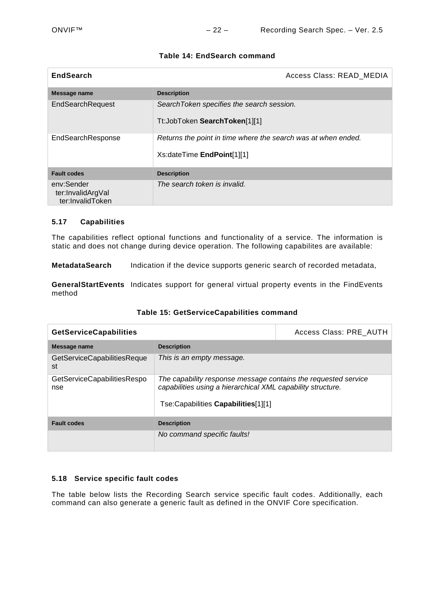| <b>EndSearch</b>                                    | Access Class: READ MEDIA                                                                            |  |
|-----------------------------------------------------|-----------------------------------------------------------------------------------------------------|--|
| Message name                                        | <b>Description</b>                                                                                  |  |
| EndSearchRequest                                    | SearchToken specifies the search session.<br>Tt:JobToken SearchToken[1][1]                          |  |
| EndSearchResponse                                   | Returns the point in time where the search was at when ended.<br>Xs:dateTime <b>EndPoint</b> [1][1] |  |
| <b>Fault codes</b>                                  | <b>Description</b>                                                                                  |  |
| env:Sender<br>ter:InvalidArgVal<br>ter:InvalidToken | The search token is invalid.                                                                        |  |

## **Table 14: EndSearch command**

## <span id="page-21-0"></span>**5.17 Capabilities**

The capabilities reflect optional functions and functionality of a service. The information is static and does not change during device operation. The following capabilites are available:

**MetadataSearch** Indication if the device supports generic search of recorded metadata,

**GeneralStartEvents** Indicates support for general virtual property events in the FindEvents method

| <b>GetServiceCapabilities</b>             |                                                                                                                                                                      | Access Class: PRE AUTH |
|-------------------------------------------|----------------------------------------------------------------------------------------------------------------------------------------------------------------------|------------------------|
| Message name                              | <b>Description</b>                                                                                                                                                   |                        |
| GetServiceCapabilitiesReque<br>st         | This is an empty message.                                                                                                                                            |                        |
| <b>GetServiceCapabilitiesRespo</b><br>nse | The capability response message contains the requested service<br>capabilities using a hierarchical XML capability structure.<br>Tse:Capabilities Capabilities[1][1] |                        |
| <b>Fault codes</b>                        | <b>Description</b>                                                                                                                                                   |                        |
|                                           | No command specific faults!                                                                                                                                          |                        |

#### **Table 15: GetServiceCapabilities command**

## <span id="page-21-1"></span>**5.18 Service specific fault codes**

The table below lists the Recording Search service specific fault codes. Additionally, each command can also generate a generic fault as defined in the ONVIF Core specification.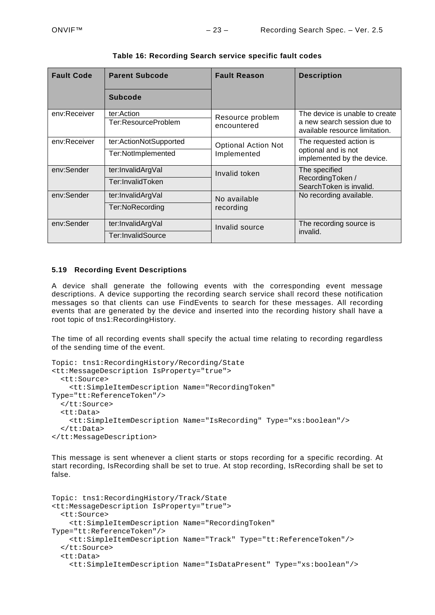| <b>Fault Code</b> | <b>Parent Subcode</b>             | <b>Fault Reason</b>             | <b>Description</b>                                                                              |
|-------------------|-----------------------------------|---------------------------------|-------------------------------------------------------------------------------------------------|
|                   | <b>Subcode</b>                    |                                 |                                                                                                 |
| env:Receiver      | ter:Action<br>Ter:ResourceProblem | Resource problem<br>encountered | The device is unable to create<br>a new search session due to<br>available resource limitation. |
| env:Receiver      | ter:ActionNotSupported            | <b>Optional Action Not</b>      | The requested action is<br>optional and is not                                                  |
|                   | Ter:NotImplemented                | Implemented                     | implemented by the device.                                                                      |
| env:Sender        | ter:InvalidArgVal                 | Invalid token                   | The specified                                                                                   |
|                   | Ter:InvalidToken                  |                                 | RecordingToken /<br>SearchToken is invalid.                                                     |
| env:Sender        | ter:InvalidArgVal                 | No available                    | No recording available.                                                                         |
|                   | Ter:NoRecording                   | recording                       |                                                                                                 |
| env:Sender        | ter:InvalidArgVal                 | Invalid source                  | The recording source is                                                                         |
|                   | Ter:InvalidSource                 |                                 | invalid.                                                                                        |

#### **Table 16: Recording Search service specific fault codes**

#### <span id="page-22-0"></span>**5.19 Recording Event Descriptions**

A device shall generate the following events with the corresponding event message descriptions. A device supporting the recording search service shall record these notification messages so that clients can use FindEvents to search for these messages. All recording events that are generated by the device and inserted into the recording history shall have a root topic of tns1:RecordingHistory.

The time of all recording events shall specify the actual time relating to recording regardless of the sending time of the event.

```
Topic: tns1:RecordingHistory/Recording/State
<tt:MessageDescription IsProperty="true"> 
   <tt:Source> 
     <tt:SimpleItemDescription Name="RecordingToken" 
Type="tt:ReferenceToken"/> 
   </tt:Source> 
   <tt:Data> 
     <tt:SimpleItemDescription Name="IsRecording" Type="xs:boolean"/> 
   </tt:Data> 
</tt:MessageDescription>
```
This message is sent whenever a client starts or stops recording for a specific recording. At start recording, IsRecording shall be set to true. At stop recording, IsRecording shall be set to false.

```
Topic: tns1:RecordingHistory/Track/State
<tt:MessageDescription IsProperty="true"> 
   <tt:Source> 
     <tt:SimpleItemDescription Name="RecordingToken" 
Type="tt:ReferenceToken"/> 
     <tt:SimpleItemDescription Name="Track" Type="tt:ReferenceToken"/> 
   </tt:Source> 
   <tt:Data> 
     <tt:SimpleItemDescription Name="IsDataPresent" Type="xs:boolean"/>
```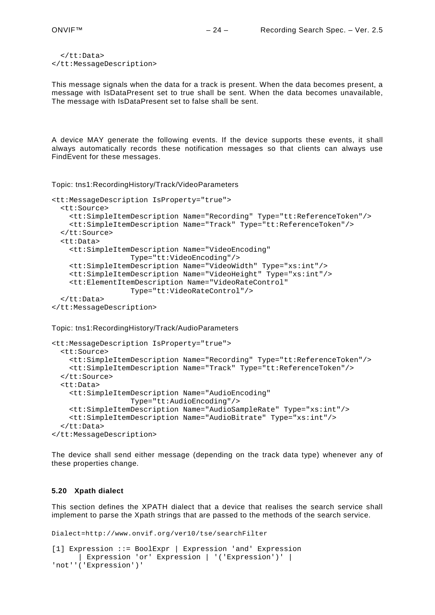```
 </tt:Data> 
</tt:MessageDescription>
```
This message signals when the data for a track is present. When the data becomes present, a message with IsDataPresent set to true shall be sent. When the data becomes unavailable, The message with IsDataPresent set to false shall be sent.

A device MAY generate the following events. If the device supports these events, it shall always automatically records these notification messages so that clients can always use FindEvent for these messages.

Topic: tns1:RecordingHistory/Track/VideoParameters

```
<tt:MessageDescription IsProperty="true"> 
   <tt:Source> 
     <tt:SimpleItemDescription Name="Recording" Type="tt:ReferenceToken"/> 
     <tt:SimpleItemDescription Name="Track" Type="tt:ReferenceToken"/> 
   </tt:Source> 
   <tt:Data> 
     <tt:SimpleItemDescription Name="VideoEncoding"
                   Type="tt:VideoEncoding"/> 
     <tt:SimpleItemDescription Name="VideoWidth" Type="xs:int"/> 
     <tt:SimpleItemDescription Name="VideoHeight" Type="xs:int"/> 
     <tt:ElementItemDescription Name="VideoRateControl"
                   Type="tt:VideoRateControl"/> 
   </tt:Data> 
</tt:MessageDescription>
```
Topic: tns1:RecordingHistory/Track/AudioParameters

```
<tt:MessageDescription IsProperty="true"> 
   <tt:Source> 
     <tt:SimpleItemDescription Name="Recording" Type="tt:ReferenceToken"/> 
     <tt:SimpleItemDescription Name="Track" Type="tt:ReferenceToken"/> 
   </tt:Source> 
   <tt:Data> 
     <tt:SimpleItemDescription Name="AudioEncoding"
                  Type="tt:AudioEncoding"/> 
     <tt:SimpleItemDescription Name="AudioSampleRate" Type="xs:int"/> 
     <tt:SimpleItemDescription Name="AudioBitrate" Type="xs:int"/> 
   </tt:Data> 
</tt:MessageDescription>
```
The device shall send either message (depending on the track data type) whenever any of these properties change.

#### <span id="page-23-0"></span>**5.20 Xpath dialect**

This section defines the XPATH dialect that a device that realises the search service shall implement to parse the Xpath strings that are passed to the methods of the search service.

```
Dialect=http://www.onvif.org/ver10/tse/searchFilter
[1] Expression ::= BoolExpr | Expression 'and' Expression
      | Expression 'or' Expression | '('Expression')' | 
'not''('Expression')'
```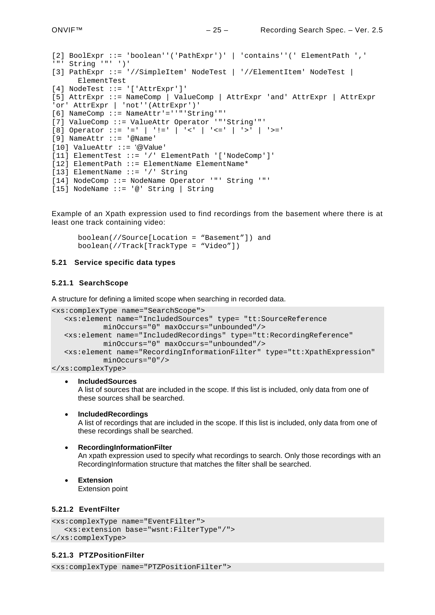```
[2] BoolExpr ::= 'boolean''('PathExpr')' | 'contains''(' ElementPath ',' 
'"' String '"' ')' 
[3] PathExpr ::= '//SimpleItem' NodeTest | '//ElementItem' NodeTest | 
     ElementTest
[4] NodeTest ::= '['AttrExpr']'
[5] AttrExpr ::= NameComp | ValueComp | AttrExpr 'and' AttrExpr | AttrExpr 
'or' AttrExpr | 'not''(AttrExpr')'
[6] NameComp ::= NameAttr'=''"'String'"'
[7] ValueComp ::= ValueAttr Operator '"'String'"'
[8] Operator ::= '=' | '!=' | '<' | '<=' | '>' | '>='
[9] NameAttr ::= '@Name'
[10] ValueAttr ::= '@Value'
[11] ElementTest ::= '/' ElementPath '['NodeComp']' 
[12] ElementPath ::= ElementName ElementName*
[13] ElementName ::= '/' String
[14] NodeComp ::= NodeName Operator '"' String '"'
[15] NodeName ::= '@' String | String
```
Example of an Xpath expression used to find recordings from the basement where there is at least one track containing video:

boolean(//Source[Location = "Basement"]) and boolean(//Track[TrackType = "Video"])

#### <span id="page-24-0"></span>**5.21 Service specific data types**

#### <span id="page-24-1"></span>**5.21.1 SearchScope**

A structure for defining a limited scope when searching in recorded data.

```
<xs:complexType name="SearchScope">
  <xs:element name="IncludedSources" type= "tt:SourceReference
           minOccurs="0" maxOccurs="unbounded"/>
  <xs:element name="IncludedRecordings" type="tt:RecordingReference" 
           minOccurs="0" maxOccurs="unbounded"/>
  <xs:element name="RecordingInformationFilter" type="tt:XpathExpression" 
           minOccurs="0"/>
```
</xs:complexType>

• **IncludedSources**

A list of sources that are included in the scope. If this list is included, only data from one of these sources shall be searched.

• **IncludedRecordings**

A list of recordings that are included in the scope. If this list is included, only data from one of these recordings shall be searched.

- **RecordingInformationFilter** An xpath expression used to specify what recordings to search. Only those recordings with an RecordingInformation structure that matches the filter shall be searched.
- **Extension** Extension point

#### <span id="page-24-2"></span>**5.21.2 EventFilter**

```
<xs:complexType name="EventFilter">
  <xs:extension base="wsnt:FilterType"/">
</xs:complexType>
```
#### <span id="page-24-3"></span>**5.21.3 PTZPositionFilter**

<xs:complexType name="PTZPositionFilter">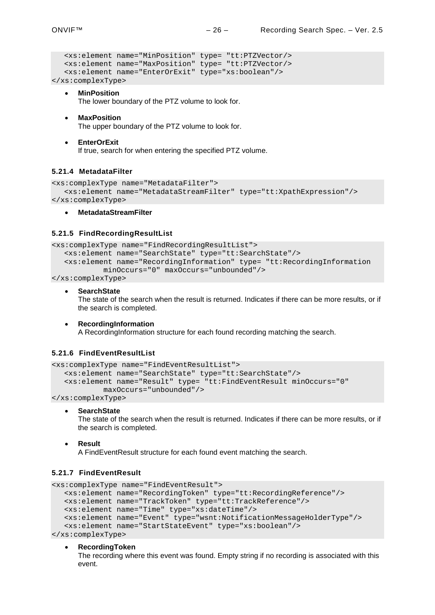```
<xs:element name="MinPosition" type= "tt:PTZVector/>
  <xs:element name="MaxPosition" type= "tt:PTZVector/>
  <xs:element name="EnterOrExit" type="xs:boolean"/>
</xs:complexType>
```
- **MinPosition** The lower boundary of the PTZ volume to look for.
- **MaxPosition**
	- The upper boundary of the PTZ volume to look for.
- **EnterOrExit** If true, search for when entering the specified PTZ volume.

#### <span id="page-25-0"></span>**5.21.4 MetadataFilter**

```
<xs:complexType name="MetadataFilter">
  <xs:element name="MetadataStreamFilter" type="tt:XpathExpression"/>
</xs:complexType>
```
• **MetadataStreamFilter**

#### <span id="page-25-1"></span>**5.21.5 FindRecordingResultList**

```
<xs:complexType name="FindRecordingResultList">
  <xs:element name="SearchState" type="tt:SearchState"/>
  <xs:element name="RecordingInformation" type= "tt:RecordingInformation
           minOccurs="0" maxOccurs="unbounded"/>
```
</xs:complexType>

• **SearchState**

The state of the search when the result is returned. Indicates if there can be more results, or if the search is completed.

• **RecordingInformation** A RecordingInformation structure for each found recording matching the search.

## <span id="page-25-2"></span>**5.21.6 FindEventResultList**

```
<xs:complexType name="FindEventResultList">
   <xs:element name="SearchState" type="tt:SearchState"/>
   <xs:element name="Result" type= "tt:FindEventResult minOccurs="0" 
            maxOccurs="unbounded"/>
</xs:complexType>
```
• **SearchState**

The state of the search when the result is returned. Indicates if there can be more results, or if the search is completed.

• **Result** A FindEventResult structure for each found event matching the search.

## <span id="page-25-3"></span>**5.21.7 FindEventResult**

```
<xs:complexType name="FindEventResult">
  <xs:element name="RecordingToken" type="tt:RecordingReference"/>
  <xs:element name="TrackToken" type="tt:TrackReference"/>
  <xs:element name="Time" type="xs:dateTime"/>
  <xs:element name="Event" type="wsnt:NotificationMessageHolderType"/>
  <xs:element name="StartStateEvent" type="xs:boolean"/>
</xs:complexType>
```
#### • **RecordingToken**

The recording where this event was found. Empty string if no recording is associated with this event.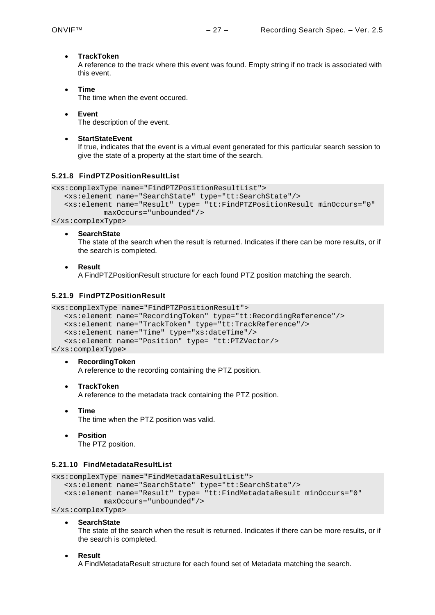## • **TrackToken**

A reference to the track where this event was found. Empty string if no track is associated with this event.

- **Time** The time when the event occured.
- **Event** The description of the event.
- **StartStateEvent**

If true, indicates that the event is a virtual event generated for this particular search session to give the state of a property at the start time of the search.

## <span id="page-26-0"></span>**5.21.8 FindPTZPositionResultList**

```
<xs:complexType name="FindPTZPositionResultList">
  <xs:element name="SearchState" type="tt:SearchState"/>
  <xs:element name="Result" type= "tt:FindPTZPositionResult minOccurs="0" 
           maxOccurs="unbounded"/>
```
</xs:complexType>

• **SearchState**

The state of the search when the result is returned. Indicates if there can be more results, or if the search is completed.

• **Result**

A FindPTZPositionResult structure for each found PTZ position matching the search.

## <span id="page-26-1"></span>**5.21.9 FindPTZPositionResult**

```
<xs:complexType name="FindPTZPositionResult">
```

```
<xs:element name="RecordingToken" type="tt:RecordingReference"/>
<xs:element name="TrackToken" type="tt:TrackReference"/>
<xs:element name="Time" type="xs:dateTime"/>
<xs:element name="Position" type= "tt:PTZVector/>
```
</xs:complexType>

## • **RecordingToken**

A reference to the recording containing the PTZ position.

• **TrackToken**

A reference to the metadata track containing the PTZ position.

- **Time** The time when the PTZ position was valid.
- **Position** The PTZ position.

## <span id="page-26-2"></span>**5.21.10 FindMetadataResultList**

```
<xs:complexType name="FindMetadataResultList">
  <xs:element name="SearchState" type="tt:SearchState"/>
  <xs:element name="Result" type= "tt:FindMetadataResult minOccurs="0" 
           maxOccurs="unbounded"/>
</xs:complexType>
```
• **SearchState**

The state of the search when the result is returned. Indicates if there can be more results, or if the search is completed.

#### • **Result**

A FindMetadataResult structure for each found set of Metadata matching the search.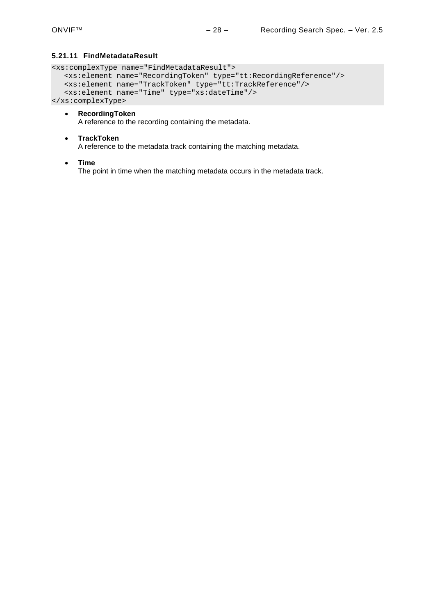## <span id="page-27-0"></span>**5.21.11 FindMetadataResult**

```
<xs:complexType name="FindMetadataResult">
  <xs:element name="RecordingToken" type="tt:RecordingReference"/>
  <xs:element name="TrackToken" type="tt:TrackReference"/>
  <xs:element name="Time" type="xs:dateTime"/>
</xs:complexType>
```
- **RecordingToken** A reference to the recording containing the metadata.
- **TrackToken** A reference to the metadata track containing the matching metadata.
- **Time**

The point in time when the matching metadata occurs in the metadata track.